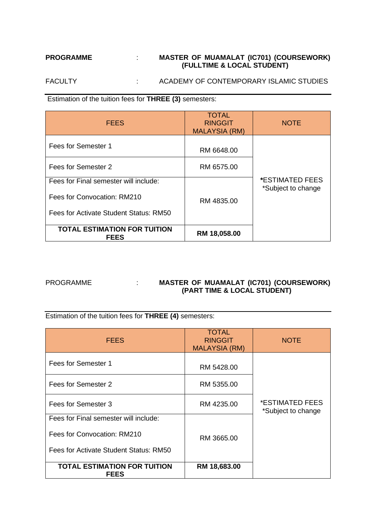## **PROGRAMME** : **MASTER OF MUAMALAT (IC701) (COURSEWORK) (FULLTIME & LOCAL STUDENT)**

FACULTY : ACADEMY OF CONTEMPORARY ISLAMIC STUDIES

Estimation of the tuition fees for **THREE (3)** semesters:

| <b>FEES</b>                                        | <b>TOTAL</b><br><b>RINGGIT</b><br><b>MALAYSIA (RM)</b> | <b>NOTE</b>                                         |
|----------------------------------------------------|--------------------------------------------------------|-----------------------------------------------------|
| Fees for Semester 1                                | RM 6648.00                                             |                                                     |
| Fees for Semester 2                                | RM 6575.00                                             |                                                     |
| Fees for Final semester will include:              |                                                        | <i><b>*ESTIMATED FEES</b></i><br>*Subject to change |
| Fees for Convocation: RM210                        | RM 4835.00                                             |                                                     |
| Fees for Activate Student Status: RM50             |                                                        |                                                     |
| <b>TOTAL ESTIMATION FOR TUITION</b><br><b>FEES</b> | RM 18,058.00                                           |                                                     |

# PROGRAMME : **MASTER OF MUAMALAT (IC701) (COURSEWORK) (PART TIME & LOCAL STUDENT)**

Estimation of the tuition fees for **THREE (4)** semesters:

| <b>FEES</b>                                                           | <b>TOTAL</b><br><b>RINGGIT</b><br><b>MALAYSIA (RM)</b> | <b>NOTE</b>                           |
|-----------------------------------------------------------------------|--------------------------------------------------------|---------------------------------------|
| Fees for Semester 1                                                   | RM 5428.00                                             |                                       |
| Fees for Semester 2                                                   | RM 5355.00                                             |                                       |
| Fees for Semester 3                                                   | RM 4235.00                                             | *ESTIMATED FEES<br>*Subject to change |
| Fees for Final semester will include:                                 |                                                        |                                       |
| Fees for Convocation: RM210<br>Fees for Activate Student Status: RM50 | RM 3665.00                                             |                                       |
| <b>TOTAL ESTIMATION FOR TUITION</b><br><b>FEES</b>                    | RM 18,683.00                                           |                                       |